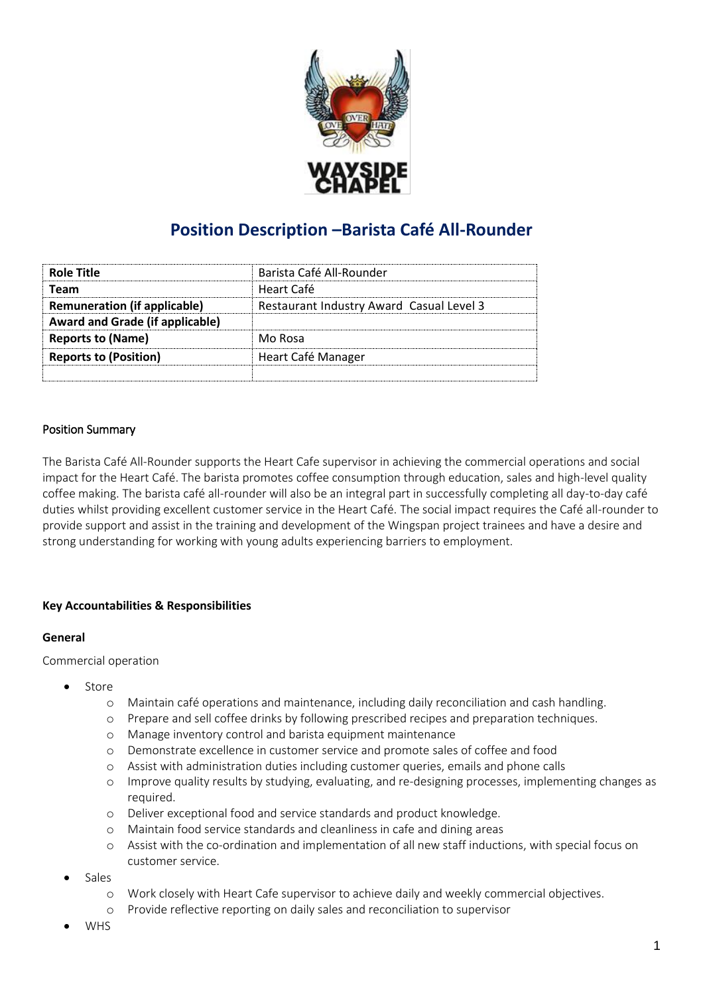

# **Position Description –Barista Café All-Rounder**

| <b>Role Title</b>                      | Barista Café All-Rounder                 |
|----------------------------------------|------------------------------------------|
| Team                                   | Heart Café                               |
| <b>Remuneration (if applicable)</b>    | Restaurant Industry Award Casual Level 3 |
| <b>Award and Grade (if applicable)</b> |                                          |
| <b>Reports to (Name)</b>               | Mo Rosa                                  |
| <b>Reports to (Position)</b>           | Heart Café Manager                       |
|                                        |                                          |

## Position Summary

The Barista Café All-Rounder supports the Heart Cafe supervisor in achieving the commercial operations and social impact for the Heart Café. The barista promotes coffee consumption through education, sales and high-level quality coffee making. The barista café all-rounder will also be an integral part in successfully completing all day-to-day café duties whilst providing excellent customer service in the Heart Café. The social impact requires the Café all-rounder to provide support and assist in the training and development of the Wingspan project trainees and have a desire and strong understanding for working with young adults experiencing barriers to employment.

## **Key Accountabilities & Responsibilities**

#### **General**

Commercial operation

- Store
	- o Maintain café operations and maintenance, including daily reconciliation and cash handling.
	- o Prepare and sell coffee drinks by following prescribed recipes and preparation techniques.
	- o Manage inventory control and barista equipment maintenance
	- o Demonstrate excellence in customer service and promote sales of coffee and food
	- o Assist with administration duties including customer queries, emails and phone calls
	- o Improve quality results by studying, evaluating, and re-designing processes, implementing changes as required.
	- o Deliver exceptional food and service standards and product knowledge.
	- o Maintain food service standards and cleanliness in cafe and dining areas
	- o Assist with the co-ordination and implementation of all new staff inductions, with special focus on customer service.
- Sales
	- o Work closely with Heart Cafe supervisor to achieve daily and weekly commercial objectives.
	- o Provide reflective reporting on daily sales and reconciliation to supervisor
- WHS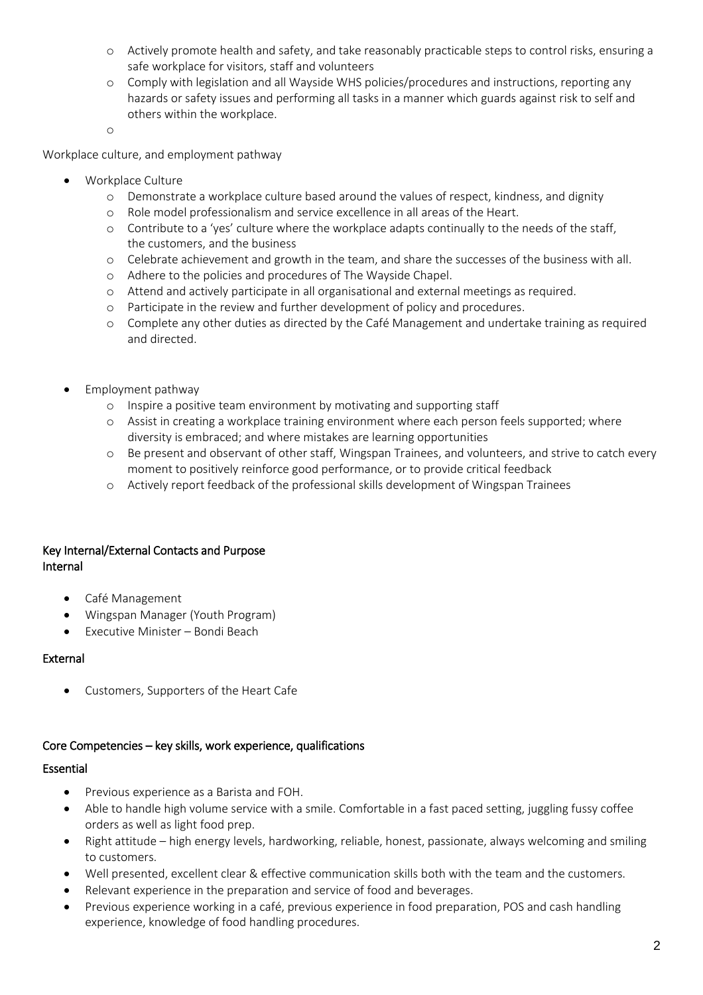- o Actively promote health and safety, and take reasonably practicable steps to control risks, ensuring a safe workplace for visitors, staff and volunteers
- o Comply with legislation and all Wayside WHS policies/procedures and instructions, reporting any hazards or safety issues and performing all tasks in a manner which guards against risk to self and others within the workplace.

o

Workplace culture, and employment pathway

- Workplace Culture
	- o Demonstrate a workplace culture based around the values of respect, kindness, and dignity
	- o Role model professionalism and service excellence in all areas of the Heart.
	- o Contribute to a 'yes' culture where the workplace adapts continually to the needs of the staff, the customers, and the business
	- o Celebrate achievement and growth in the team, and share the successes of the business with all.
	- o Adhere to the policies and procedures of The Wayside Chapel.
	- o Attend and actively participate in all organisational and external meetings as required.
	- o Participate in the review and further development of policy and procedures.
	- o Complete any other duties as directed by the Café Management and undertake training as required and directed.
- Employment pathway
	- o Inspire a positive team environment by motivating and supporting staff
	- o Assist in creating a workplace training environment where each person feels supported; where diversity is embraced; and where mistakes are learning opportunities
	- o Be present and observant of other staff, Wingspan Trainees, and volunteers, and strive to catch every moment to positively reinforce good performance, or to provide critical feedback
	- o Actively report feedback of the professional skills development of Wingspan Trainees

## Key Internal/External Contacts and Purpose Internal

- Café Management
- Wingspan Manager (Youth Program)
- Executive Minister Bondi Beach

#### External

Customers, Supporters of the Heart Cafe

## Core Competencies – key skills, work experience, qualifications

#### Essential

- Previous experience as a Barista and FOH.
- Able to handle high volume service with a smile. Comfortable in a fast paced setting, juggling fussy coffee orders as well as light food prep.
- Right attitude high energy levels, hardworking, reliable, honest, passionate, always welcoming and smiling to customers.
- Well presented, excellent clear & effective communication skills both with the team and the customers.
- Relevant experience in the preparation and service of food and beverages.
- Previous experience working in a café, previous experience in food preparation, POS and cash handling experience, knowledge of food handling procedures.